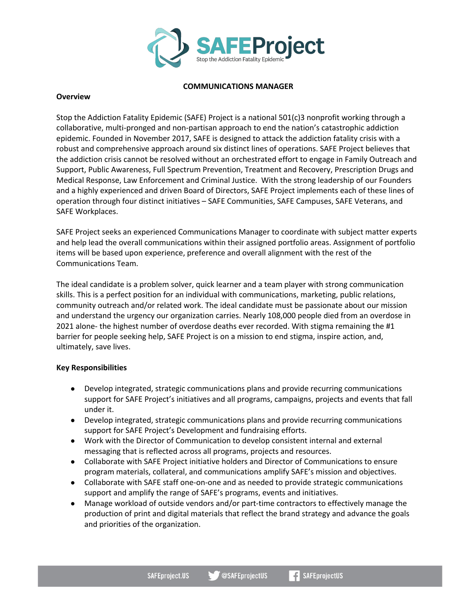

## **COMMUNICATIONS MANAGER**

## **Overview**

Stop the Addiction Fatality Epidemic (SAFE) Project is a national 501(c)3 nonprofit working through a collaborative, multi-pronged and non-partisan approach to end the nation's catastrophic addiction epidemic. Founded in November 2017, SAFE is designed to attack the addiction fatality crisis with a robust and comprehensive approach around six distinct lines of operations. SAFE Project believes that the addiction crisis cannot be resolved without an orchestrated effort to engage in Family Outreach and Support, Public Awareness, Full Spectrum Prevention, Treatment and Recovery, Prescription Drugs and Medical Response, Law Enforcement and Criminal Justice. With the strong leadership of our Founders and a highly experienced and driven Board of Directors, SAFE Project implements each of these lines of operation through four distinct initiatives – SAFE Communities, SAFE Campuses, SAFE Veterans, and SAFE Workplaces.

SAFE Project seeks an experienced Communications Manager to coordinate with subject matter experts and help lead the overall communications within their assigned portfolio areas. Assignment of portfolio items will be based upon experience, preference and overall alignment with the rest of the Communications Team.

The ideal candidate is a problem solver, quick learner and a team player with strong communication skills. This is a perfect position for an individual with communications, marketing, public relations, community outreach and/or related work. The ideal candidate must be passionate about our mission and understand the urgency our organization carries. Nearly 108,000 people died from an overdose in 2021 alone- the highest number of overdose deaths ever recorded. With stigma remaining the #1 barrier for people seeking help, SAFE Project is on a mission to end stigma, inspire action, and, ultimately, save lives.

## **Key Responsibilities**

- Develop integrated, strategic communications plans and provide recurring communications support for SAFE Project's initiatives and all programs, campaigns, projects and events that fall under it.
- Develop integrated, strategic communications plans and provide recurring communications support for SAFE Project's Development and fundraising efforts.
- Work with the Director of Communication to develop consistent internal and external messaging that is reflected across all programs, projects and resources.
- Collaborate with SAFE Project initiative holders and Director of Communications to ensure program materials, collateral, and communications amplify SAFE's mission and objectives.
- Collaborate with SAFE staff one-on-one and as needed to provide strategic communications support and amplify the range of SAFE's programs, events and initiatives.
- Manage workload of outside vendors and/or part-time contractors to effectively manage the production of print and digital materials that reflect the brand strategy and advance the goals and priorities of the organization.